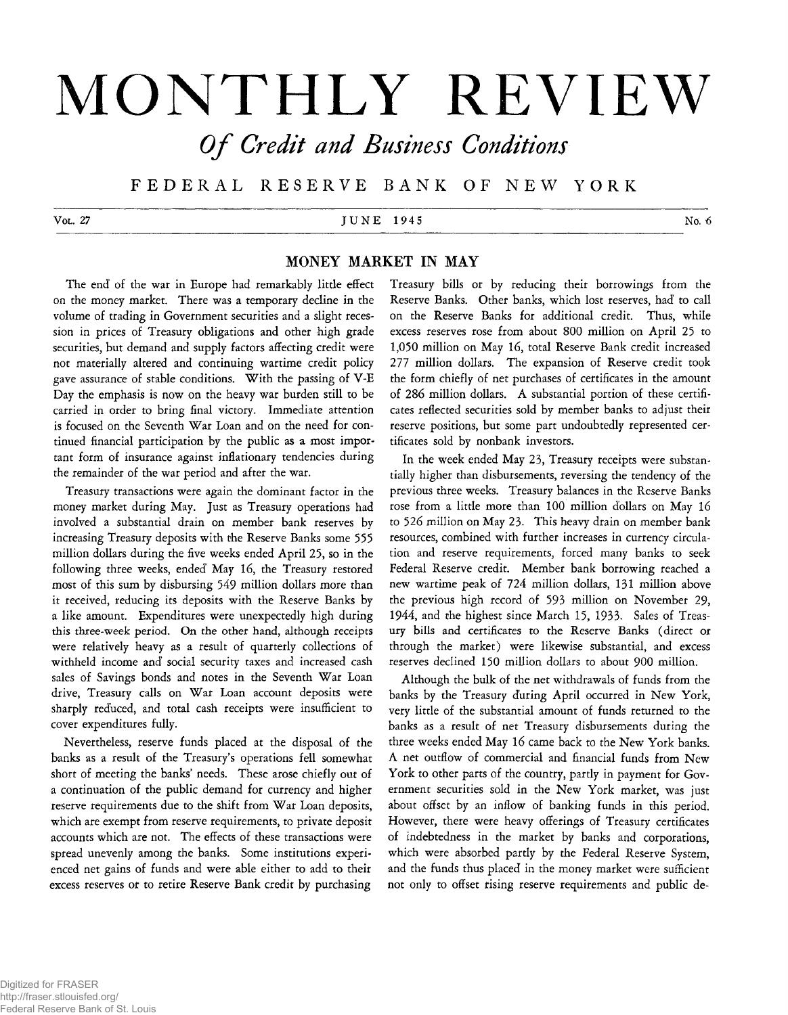# **MONTHLY REVIEW**

*Of Credit and Business Conditions* 

**F E D E R A L RESERVE B A NK OF N E W YORK**

# V ol. 27 No. 6<sup>2</sup> No. 6<sup>2</sup> No. 6<sup>2</sup> No. 6<sup>2</sup> No. 6<sup>2</sup> No. 6<sup>2</sup> No. 6<sup>2</sup> No. 6<sup>2</sup> No. 6<sup>2</sup>

# **MONEY MARKET IN MAY**

The end' of the war in Europe had remarkably little effect on the money market. There was a temporary decline in the volume of trading in Government securities and a slight recession in prices of Treasury obligations and other high grade securities, but demand and supply factors affecting credit were not materially altered and continuing wartime credit policy gave assurance of stable conditions. With the passing of V-E Day the emphasis is now on the heavy war burden still to be carried in order to bring final victory. Immediate attention is focused on the Seventh War Loan and on the need for continued financial participation by the public as a most important form of insurance against inflationary tendencies during the remainder of the war period and after the war.

Treasury transactions were again the dominant factor in the money market during May. Just as Treasury operations had involved a substantial drain on member bank reserves by increasing Treasury deposits with the Reserve Banks some 555 million dollars during the five weeks ended April 25, so in the following three weeks, ended' May 16, the Treasury restored most of this sum by disbursing 549 million dollars more than it received, reducing its deposits with the Reserve Banks by a like amount. Expenditures were unexpectedly high during this three-week period. On the other hand, although receipts were relatively heavy as a result of quarterly collections of withheld income and' social security taxes and increased cash sales of Savings bonds and notes in the Seventh War Loan drive, Treasury calls on War Loan account deposits were sharply reduced, and total cash receipts were insufficient to cover expenditures fully.

Nevertheless, reserve funds placed at the disposal of the banks as a result of the Treasury's operations fell somewhat short of meeting the banks' needs. These arose chiefly out of a continuation of the public demand for currency and higher reserve requirements due to the shift from War Loan deposits, which are exempt from reserve requirements, to private deposit accounts which are not. The effects of these transactions were spread unevenly among the banks. Some institutions experienced net gains of funds and were able either to add to their excess reserves or to retire Reserve Bank credit by purchasing

Treasury bills or by reducing their borrowings from the Reserve Banks. Other banks, which lost reserves, had' to call on the Reserve Banks for additional credit. Thus, while excess reserves rose from about 800 million on April 25 to 1,050 million on May 16, total Reserve Bank credit increased 277 million dollars. The expansion of Reserve credit took the form chiefly of net purchases of certificates in the amount of 286 million dollars. A substantial portion of these certificates reflected securities sold by member banks to adjust their reserve positions, but some part undoubtedly represented certificates sold by nonbank investors.

In the week ended May 23, Treasury receipts were substantially higher than disbursements, reversing the tendency of the previous three weeks. Treasury balances in the Reserve Banks rose from a little more than 100 million dollars on May 16 to 526 million on May 23. This heavy drain on member bank resources, combined with further increases in currency circulation and reserve requirements, forced many banks to seek Federal Reserve credit. Member bank borrowing reached a new wartime peak of 724 million dollars, 131 million above the previous high record of 593 million on November 29, 1944, and the highest since March 15, 1933. Sales of Treasury bills and certificates to the Reserve Banks (direct or through the market) were likewise substantial, and excess reserves declined 150 million dollars to about 900 million.

Although the bulk of the net withdrawals of funds from the banks by the Treasury during April occurred in New York, very little of the substantial amount of funds returned to the banks as a result of net Treasury disbursements during the three weeks ended May 16 came back to the New York banks. A net outflow of commercial and financial funds from New York to other parts of the country, partly in payment for Government securities sold in the New York market, was just about offset by an inflow of banking funds in this period. However, there were heavy offerings of Treasury certificates of indebtedness in the market by banks and corporations, which were absorbed partly by the Federal Reserve System, and the funds thus placed' in the money market were sufficient not only to offset rising reserve requirements and public de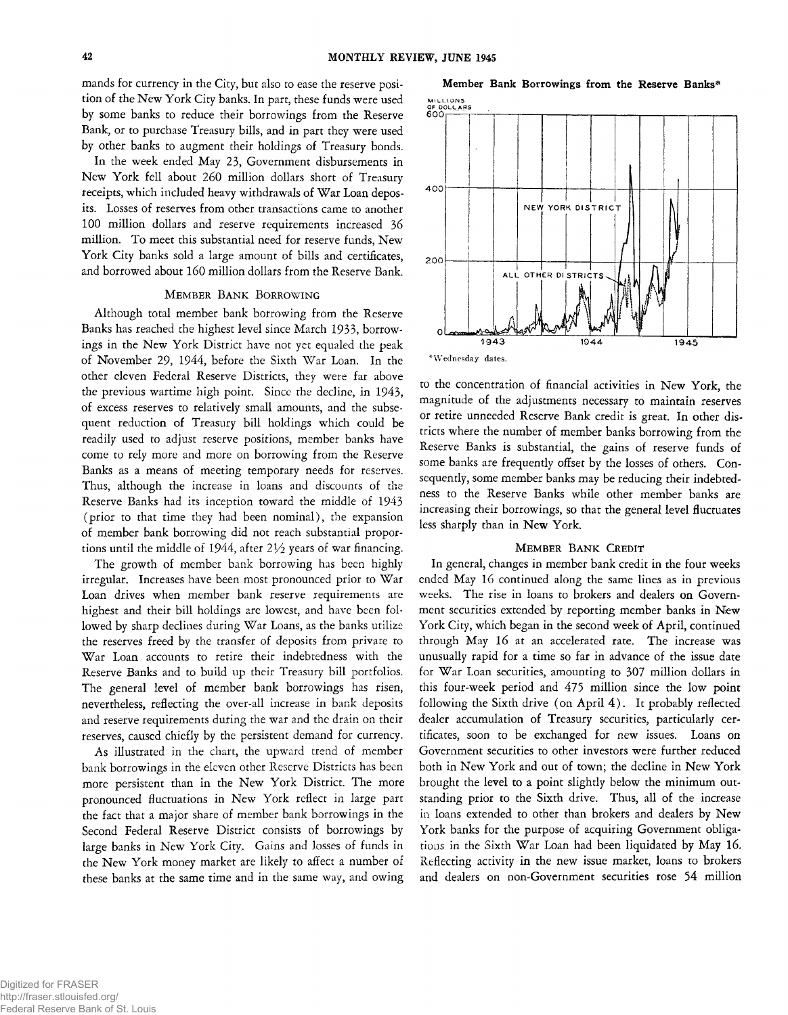mands for currency in the City, but also to ease the reserve position of the New York City banks. In part, these funds were used by some banks to reduce their borrowings from the Reserve Bank, or to purchase Treasury bills, and in part they were used by other banks to augment their holdings of Treasury bonds.

In the week ended May 23, Government disbursements in New York fell about 260 million dollars short of Treasury receipts, which included heavy withdrawals of War Loan deposits. Losses of reserves from other transactions came to another 100 million dollars and reserve requirements increased 36 million. To meet this substantial need for reserve funds, New York City banks sold a large amount of bills and certificates, and borrowed about 160 million dollars from the Reserve Bank.

### **MEMBER BANK BORROWING**

Although total member bank borrowing from the Reserve Banks has reached the highest level since March 1933, borrowings in the New York District have not yet equaled the peak of November 29, 1944, before the Sixth War Loan. In the other eleven Federal Reserve Districts, they were far above the previous wartime high point. Since the decline, in 1943, of excess reserves to relatively small amounts, and the subsequent reduction of Treasury bill holdings which could be readily used to adjust reserve positions, member banks have come to rely more and more on borrowing from the Reserve Banks as a means of meeting temporary needs for reserves. Thus, although the increase in loans and discounts of the Reserve Banks had its inception toward the middle of 1943 (prior to that time they had been nominal), the expansion of member bank borrowing did not reach substantial proportions until the middle of 1944, after *IVz* years of war financing.

The growth of member bank borrowing has been highly irregular. Increases have been most pronounced prior to War Loan drives when member bank reserve requirements are highest and their bill holdings are lowest, and have been followed by sharp declines during War Loans, as the banks utilize the reserves freed by the transfer of deposits from private to War Loan accounts to retire their indebtedness with the Reserve Banks and to build up their Treasury bill portfolios. The general level of member bank borrowings has risen, nevertheless, reflecting the over-all increase in bank deposits and reserve requirements during the war and the drain on their reserves, caused chiefly by the persistent demand for currency.

As illustrated in the chart, the upward trend of member bank borrowings in the eleven other Reserve Districts has been more persistent than in the New York District. The more pronounced fluctuations in New York reflect in large part the fact that a major share of member bank borrowings in the Second Federal Reserve District consists of borrowings by large banks in New York City, Gains and losses of funds in the New York money market are likely to affect a number of these banks at the same time and in the same way, and owing





to the concentration of financial activities in New York, the magnitude of the adjustments necessary to maintain reserves or retire unneeded Reserve Bank credit is great. In other districts where the number of member banks borrowing from the Reserve Banks is substantial, the gains of reserve funds of some banks are frequently offset by the losses of others. Consequently, some member banks may be reducing their indebtedness to the Reserve Banks while other member banks are increasing their borrowings, so that the general level fluctuates less sharply than in New York.

#### **MEMBER BANK CREDIT**

In general, changes in member bank credit in the four weeks ended May 16 continued along the same lines as in previous weeks. The rise in loans to brokers and dealers on Government securities extended by reporting member banks in New York City, which began in the second week of April, continued through May 16 at an accelerated rate. The increase was unusually rapid for a time so far in advance of the issue date for War Loan securities, amounting to 307 million dollars in this four-week period and 475 million since the low point following the Sixth drive (on April  $4$ ). It probably reflected dealer accumulation of Treasury securities, particularly certificates, soon to be exchanged for new issues. Loans on Government securities to other investors were further reduced both in New York and out of town; the decline in New York brought the level to a point slightly below the minimum outstanding prior to the Sixth drive. Thus, all of the increase in loans extended to other than brokers and dealers by New York banks for the purpose of acquiring Government obligations in the Sixth War Loan had been liquidated by May 16. Reflecting activity in the new issue market, loans to brokers and dealers on non-Government securities rose 54 million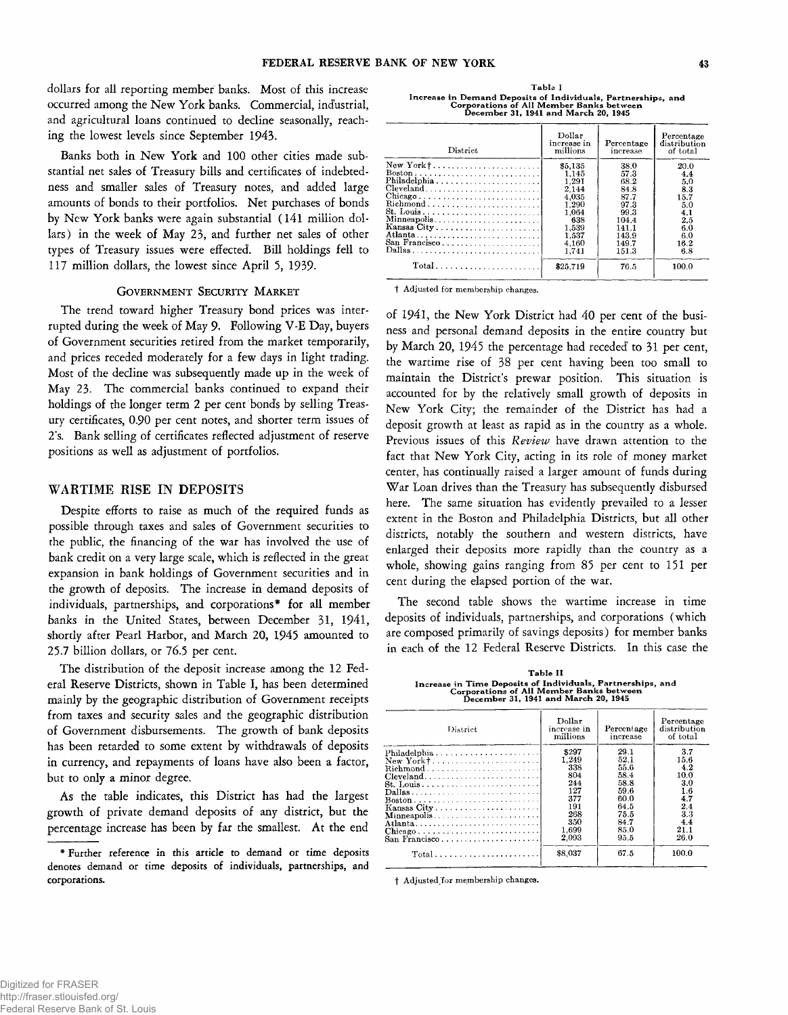dollars for all reporting member banks. Most of this increase occurred among the New York banks. Commercial, industrial, and agricultural loans continued to decline seasonally, reaching the lowest levels since September 1943.

Banks both in New York and 100 other cities made substantial net sales of Treasury bills and certificates of indebtedness and smaller sales of Treasury notes, and added large amounts of bonds to their portfolios. Net purchases of bonds by New York banks were again substantial (141 million dollars) in the week of May 23, and further net sales of other types of Treasury issues were effected'. Bill holdings fell to 117 million dollars, the lowest since April 5, 1939.

## GOVERNMENT SECURITY MARKET

The trend toward higher Treasury bond prices was interrupted during the week of May 9. Following V-E Day, buyers of Government securities retired from the market temporarily, and prices receded moderately for a few days in light trading. Most of the decline was subsequently made up in the week of May 23. The commercial banks continued to expand their holdings of the longer term 2 per cent bonds by selling Treasury certificates, 0.90 per cent notes, and shorter term issues of 2s. Bank selling of certificates reflected adjustment of reserve positions as well as adjustment of portfolios.

#### WARTIME RISE IN DEPOSITS

Despite efforts to raise as much of the required funds as possible through taxes and sales of Government securities to the public, the financing of the war has involved the use of bank credit on a very large scale, which is reflected in the great expansion in bank holdings of Government securities and in the growth of deposits. The increase in demand deposits of individuals, partnerships, and corporations\* for all member banks in the United States, between December 31, 1941, shortly after Pearl Harbor, and March 20, 1945 amounted to 25.7 billion dollars, or 76.5 per cent.

The distribution of the deposit increase among the 12 Federal Reserve Districts, shown in Table I, has been determined mainly by the geographic distribution of Government receipts from taxes and security sales and the geographic distribution of Government disbursements. The growth of bank deposits has been retarded to some extent by withdrawals of deposits in currency, and repayments of loans have also been a factor, but to only a minor degree.

As the table indicates, this District has had the largest growth of private demand deposits of any district, but the percentage increase has been by far the smallest. At the end

**Table I** Increase in Demand Deposits of Individuals, Partnerships, and<br>Corporations of All Member Banks between<br>December 31, 1941 and March 20, 1945

| District                                                                                                                                                                          | Dollar<br>increase in<br>millions                                                                        | Percentage<br>increase                                                                            | Percentage<br>distribution<br>of total                                              |
|-----------------------------------------------------------------------------------------------------------------------------------------------------------------------------------|----------------------------------------------------------------------------------------------------------|---------------------------------------------------------------------------------------------------|-------------------------------------------------------------------------------------|
| $\text{Chicago} \ldots \ldots \ldots \ldots \ldots \ldots \ldots \ldots$<br>Richmond<br>$Minneapolis \ldots \ldots \ldots \ldots \ldots \ldots \ldots$<br>San Francisco<br>Dallas | \$5,135<br>1.145<br>1.291<br>2.144<br>4.035<br>1.290<br>1.064<br>638<br>1.539<br>1.537<br>4.160<br>1.741 | 38.0<br>57.3<br>68.2<br>84.8<br>87.7<br>97.3<br>99.3<br>104.4<br>141.1<br>143.9<br>149.7<br>151.3 | 20.0<br>4.4<br>5.0<br>8.3<br>15.7<br>5.0<br>4.1<br>2.5<br>6.0<br>6.0<br>16.2<br>6.8 |
| $Total \dots \dots \dots \dots \dots \dots \dots$                                                                                                                                 | \$25,719                                                                                                 | 76.5                                                                                              | 100.0                                                                               |

t Adjusted for membership changes.

of 1941, the New York District had 40 per cent of the business and personal demand deposits in the entire country but by March 20, 1945 the percentage had receded' to 31 per cent, the wartime rise of 38 per cent having been too small to maintain the District's prewar position. This situation is accounted for by the relatively small growth of deposits in New York City; the remainder of the District has had a deposit growth at least as rapid as in the country as a whole. Previous issues of this *Review* have drawn attention to the fact that New York City, acting in its role of money market center, has continually raised a larger amount of funds during War Loan drives than the Treasury has subsequently disbursed here. The same situation has evidently prevailed to a lesser extent in the Boston and Philadelphia Districts, but all other districts, notably the southern and western districts, have enlarged their deposits more rapidly than the country as a whole, showing gains ranging from 85 per cent to 151 per cent during the elapsed portion of the war.

The second table shows the wartime increase in time deposits of individuals, partnerships, and corporations (which are composed primarily of savings deposits) for member banks in each of the 12 Federal Reserve Districts. In this case the

**Table II** Increase in Time Deposits of Individuals, Partnerships, and<br>Corporations of All Member Banks between<br>December 31, 1941 and March 20, 1945

| District                                                      | Dollar<br>increase in<br>millions                                                        | Percentage<br>increase                                                                       | Percentage<br>distribution<br>of total                                               |
|---------------------------------------------------------------|------------------------------------------------------------------------------------------|----------------------------------------------------------------------------------------------|--------------------------------------------------------------------------------------|
| New York† <br><b>St. Louis</b><br>Atlanta<br>$San$ Francisco  | \$297<br>1.249<br>338<br>804<br>244<br>127<br>377<br>191<br>268<br>350<br>1.699<br>2.093 | 29.1<br>52.1<br>55.6<br>58.4<br>58.8<br>59.6<br>60.0<br>64.5<br>75.5<br>84.7<br>85.0<br>95.5 | 3.7<br>15.6<br>4.2<br>10.0<br>3.0<br>1.6<br>4.7<br>2.4<br>3.3<br>4.4<br>21.1<br>26.0 |
| $Total \dots \dots \dots \dots \dots \dots \dots \dots \dots$ | \$8.037                                                                                  | 67.5                                                                                         | 100.0                                                                                |

t Adjustedjor membership changes.

<sup>\*</sup> Further reference in this article to demand or time deposits denotes demand or time deposits of individuals, partnerships, and corporations.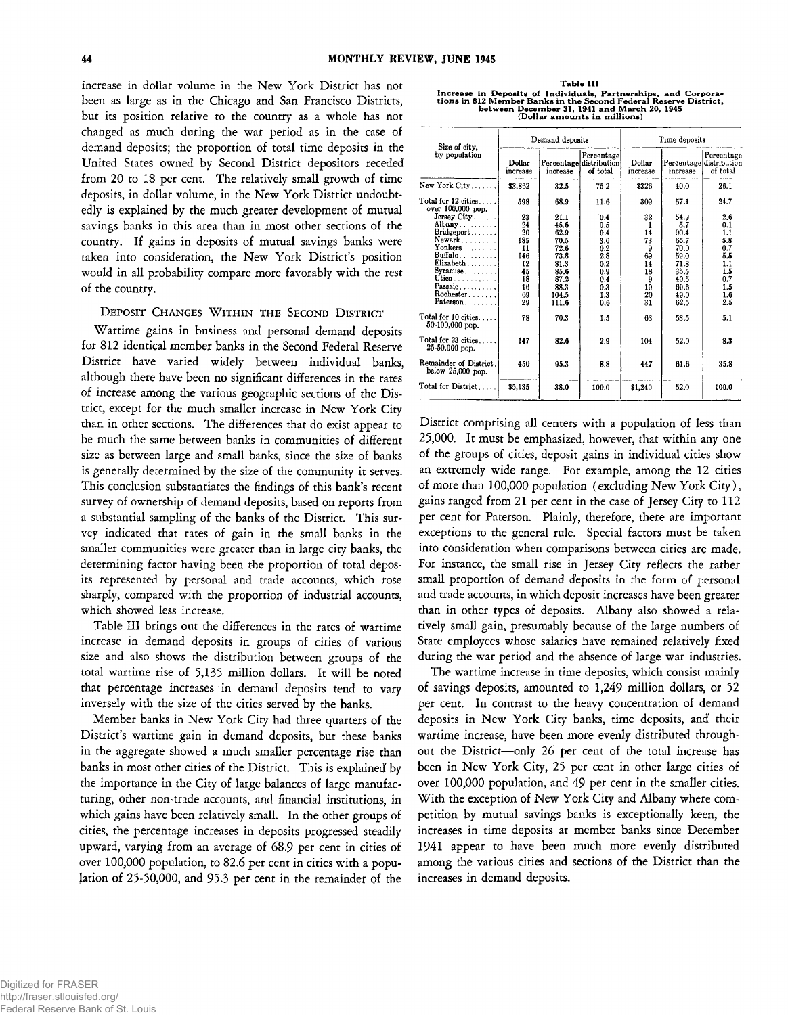increase in dollar volume in the New York District has not been as large as in the Chicago and San Francisco Districts, but its position relative to the country as a whole has not changed as much during the war period as in the case of demand deposits; the proportion of total time deposits in the United States owned by Second District depositors receded from 20 to 18 per cent. The relatively small growth of time deposits, in dollar volume, in the New York District undoubtedly is explained by the much greater development of mutual savings banks in this area than in most other sections of the country. If gains in deposits of mutual savings banks were taken into consideration, the New York District's position would in all probability compare more favorably with the rest of the country.

## **DEPOSIT CHANGES WITHIN THE SECOND DISTRICT**

Wartime gains in business and personal demand deposits for 812 identical member banks in the Second Federal Reserve District have varied widely between individual banks, although there have been no significant differences in the rates of increase among the various geographic sections of the District, except for the much smaller increase in New York City than in other sections. The differences that do exist appear to be much the same between banks in communities of different size as between large and small banks, since the size of banks is generally determined by the size of the community it serves. This conclusion substantiates the findings of this bank's recent survey of ownership of demand deposits, based on reports from a substantial sampling of the banks of the District. This survey indicated that rates of gain in the small banks in the smaller communities were greater than in large city banks, the determining factor having been the proportion of total deposits represented by personal and trade accounts, which rose sharply, compared with the proportion of industrial accounts, which showed less increase.

Table III brings out the differences in the rates of wartime increase in demand deposits in groups of cities of various size and also shows the distribution between groups of the total wartime rise of 5,135 million dollars. It will be noted that percentage increases in demand deposits tend to vary inversely with the size of the cities served by the banks.

Member banks in New York City had three quarters of the District's wartime gain in demand deposits, but these banks in the aggregate showed a much smaller percentage rise than banks in most other cities of the District. This is explained' by the importance in the City of large balances of large manufacturing, other non-trade accounts, and financial institutions, in which gains have been relatively small. In the other groups of cities, the percentage increases in deposits progressed steadily upward, varying from an average of 68.9 per cent in cities of over 100,000 population, to 82.6 per cent in cities with a population of 25-50,000, and 95.3 per cent in the remainder of the

| Table III                                                         |
|-------------------------------------------------------------------|
| Increase in Deposits of Individuals, Partnerships, and Corpora-   |
| tions in 812 Member Banks in the Second Federal Reserve District. |
| between December 31, 1941 and March 20, 1945                      |
| (Dollar amounts in millions)                                      |

| Size of city,                                                                                                                               | Demand deposits                                                        |                                                                                                |                                                                                  | Time deposits                                                |                                                                                            |                                                                                  |  |
|---------------------------------------------------------------------------------------------------------------------------------------------|------------------------------------------------------------------------|------------------------------------------------------------------------------------------------|----------------------------------------------------------------------------------|--------------------------------------------------------------|--------------------------------------------------------------------------------------------|----------------------------------------------------------------------------------|--|
| by population                                                                                                                               | Dollar<br>increase                                                     | increase                                                                                       | Percentage<br>Percentage distribution<br>of total                                | Dollar<br>increase                                           | increase                                                                                   | Percentage<br>Percentage distribution<br>of total                                |  |
| New York $City \ldots \ldots$                                                                                                               | \$3,862                                                                | 32.5                                                                                           | 75.2                                                                             | \$326                                                        | 40.0                                                                                       | 26.1                                                                             |  |
| Total for $12$ cities $\ldots$ .<br>over 100,000 pop.                                                                                       | 598                                                                    | 68.9                                                                                           | 11.6                                                                             | 309                                                          | 57.1                                                                                       | 24.7                                                                             |  |
| Jersey City<br>Albany<br>Bridgeport<br>$Newark$<br>Yonkers<br>Buffalo<br>Elizabeth<br>Syracuse<br>Utica<br>Passaic<br>Rochester<br>Paterson | 23<br>24<br>20<br>185<br>11<br>146<br>12<br>45<br>18<br>16<br>69<br>29 | 21.1<br>45.6<br>62.9<br>70.5<br>72.6<br>73.8<br>81.3<br>85.6<br>87.2<br>88.3<br>104.5<br>111.6 | 0.4<br>0.5<br>0.4<br>3.6<br>0.2<br>2.8<br>0.2<br>0.9<br>0.4<br>0.3<br>1.3<br>0.6 | 32<br>14<br>73<br>9<br>69<br>14<br>18<br>9<br>19<br>20<br>31 | 54.9<br>5.7<br>90.4<br>65.7<br>70.0<br>590<br>71.8<br>35.5<br>40.5<br>69.6<br>49.0<br>62.5 | 2.6<br>0.1<br>1.1<br>5.8<br>0.7<br>5.5<br>1.1<br>1.5<br>0.7<br>1.5<br>1.6<br>2.5 |  |
| Total for 10 cities<br>50-100,000 pcp.                                                                                                      | 78                                                                     | 70.3                                                                                           | 1.5                                                                              | 63                                                           | 53.5                                                                                       | 5.1                                                                              |  |
| Total for 23 cities<br>25-50,000 рор.                                                                                                       | 147                                                                    | 82.6                                                                                           | 2.9                                                                              | 104                                                          | 52.0                                                                                       | 8.3                                                                              |  |
| Remainder of District.<br>below 25,000 pop.                                                                                                 | 450                                                                    | 95.3                                                                                           | 8.8                                                                              | 447                                                          | 61.6                                                                                       | 35.8                                                                             |  |
| Total for District                                                                                                                          | \$5,135                                                                | 38.0                                                                                           | 100.0                                                                            | \$1,249                                                      | 52.0                                                                                       | 100.0                                                                            |  |

District comprising all centers with a population of less than 25,000. It must be emphasized, however, that within any one of the groups of cities, deposit gains in individual cities show an extremely wide range. For example, among the 12 cities of more than 100,000 population (excluding New York City), gains ranged from 21 per cent in the case of Jersey City to 112 per cent for Paterson. Plainly, therefore, there are important exceptions to the general rule. Special factors must be taken into consideration when comparisons between cities are made. For instance, the small rise in Jersey City reflects the rather small proportion of demand deposits in the form of personal and trade accounts, in which deposit increases have been greater than in other types of deposits. Albany also showed a relatively small gain, presumably because of the large numbers of State employees whose salaries have remained relatively fixed during the war period and the absence of large war industries.

The wartime increase in time deposits, which consist mainly of savings deposits, amounted to 1,249 million dollars, or 52 per cent. In contrast to the heavy concentration of demand deposits in New York City banks, time deposits, and' their wartime increase, have been more evenly distributed throughout the District— only 26 per cent of the total increase has been in New York City, 25 per cent in other large cities of over 100,000 population, and 49 per cent in the smaller cities. With the exception of New York City and Albany where competition by mutual savings banks is exceptionally keen, the increases in time deposits at member banks since December 1941 appear to have been much more evenly distributed among the various cities and sections of the District than the increases in demand deposits.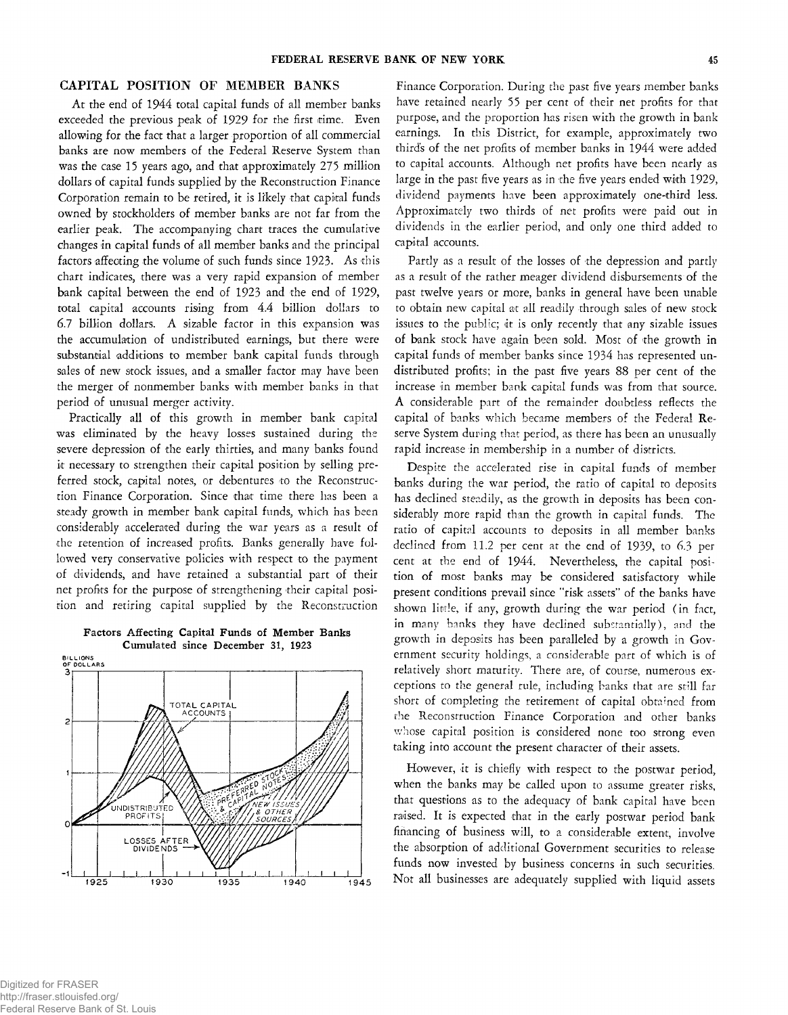# CAPITAL POSITION OF MEMBER BANKS

At the end of 1944 total capital funds of all member banks exceeded the previous peak of 1929 for the first time. Even allowing for the fact that a larger proportion of all commercial banks are now members of the Federal Reserve System than was the case 15 years ago, and that approximately 275 million dollars of capital funds supplied by the Reconstruction Finance Corporation remain to be retired, it is li'kely that capital funds owned by stockholders of member banks are not far from the earlier peak. The accompanying chart traces the cumulative changes in capital funds of all member banks and the principal factors affecting the volume of such funds since 1923. As this chart indicates, there was a very rapid expansion of member bank capital between the end of 1923 and the end of 1929, total capital accounts rising from 4.4 billion dollars to 6.7 billion dollars. A sizable factor in this expansion was the accumulation of undistributed earnings, but there were substantial additions to member bank capital funds through sales of new stock issues, and a smaller factor may have been the merger of nonmember banks with member banks in that period of unusual merger activity.

Practically all of this growth in member bank capital was eliminated by the heavy losses sustained during the severe depression of the early thirties, and many banks found it necessary to strengthen their capital position by selling preferred stock, capital notes, or debentures to the Reconstruction Finance Corporation. Since that time there has been a steady growth in member bank capital funds, which has been considerably accelerated during the war years as a result of the retention of increased profits. Banks generally have followed very conservative policies with respect to the payment of dividends, and have retained a substantial part of their net profits for the purpose of strengthening their capital position and retiring capital supplied by the Reconstruction

Factors Affecting Capital Funds of Member Banks Cumulated since December 31, 1923



Finance Corporation. During the past five years member banks have retained nearly 55 per cent of their net profits for that purpose, and the proportion has risen with the growth in bank earnings. In this District, for example, approximately two thirds of the net profits of member banks in 1944 were added to capital accounts. Although net profits have been nearly as large in the past five years as in the five years ended with 1929, dividend payments have been approximately one-third less. Approximately two thirds of net profits were paid out in dividends in the earlier period, and only one third added to capital accounts.

Partly as a result of the losses of the depression and partly as a result of the rather meager dividend disbursements of the past twelve years or more, banks in general have been unable to obtain new capital at all readily through sales of new stock issues to the public; it is only recently that any sizable issues of bank stock have again been sold. Most of the growth in capital funds of member banks since 1934 has represented undistributed profits; in the past five years 88 per cent of the increase in member bank capital funds was from that source. A considerable part of the remainder doubtless reflects the capital of banks which became members of the Federal Reserve System during that period, as there has been an unusually rapid increase in membership in a number of districts.

Despite the accelerated rise in capital funds of member banks during the war period, the ratio of capital to deposits has declined steadily, as the growth in deposits has been considerably more rapid than the growth in capital funds. The ratio of capital accounts to deposits in all member banks declined from 11.2 per cent at the end of 1939, to 6.3 per cent at the end of 1944. Nevertheless, the capital position of most banks may be considered satisfactory while present conditions prevail since "risk assets" of the banks have shown little, if any, growth during the war period (in fact, in many banks they have declined substantially), and the growth in deposits has been paralleled by a growth in Government security holdings, a considerable part of which is of relatively short maturity. There are, of course, numerous exceptions to the general rule, including banks that are still far short of completing the retirement of capital obtained from the Reconstruction Finance Corporation and other banks whose capital position is considered none too strong even taking into account the present character of their assets.

However, it is chiefly with respect to the postwar period, when the banks may be called upon to assume greater risks, that questions as to the adequacy of bank capital have been raised. It is expected that in the early postwar period bank financing of business will, to a considerable extent, involve the absorption of additional Government securities to release funds now invested by business concerns in such securities. Not all businesses are adequately supplied with liquid assets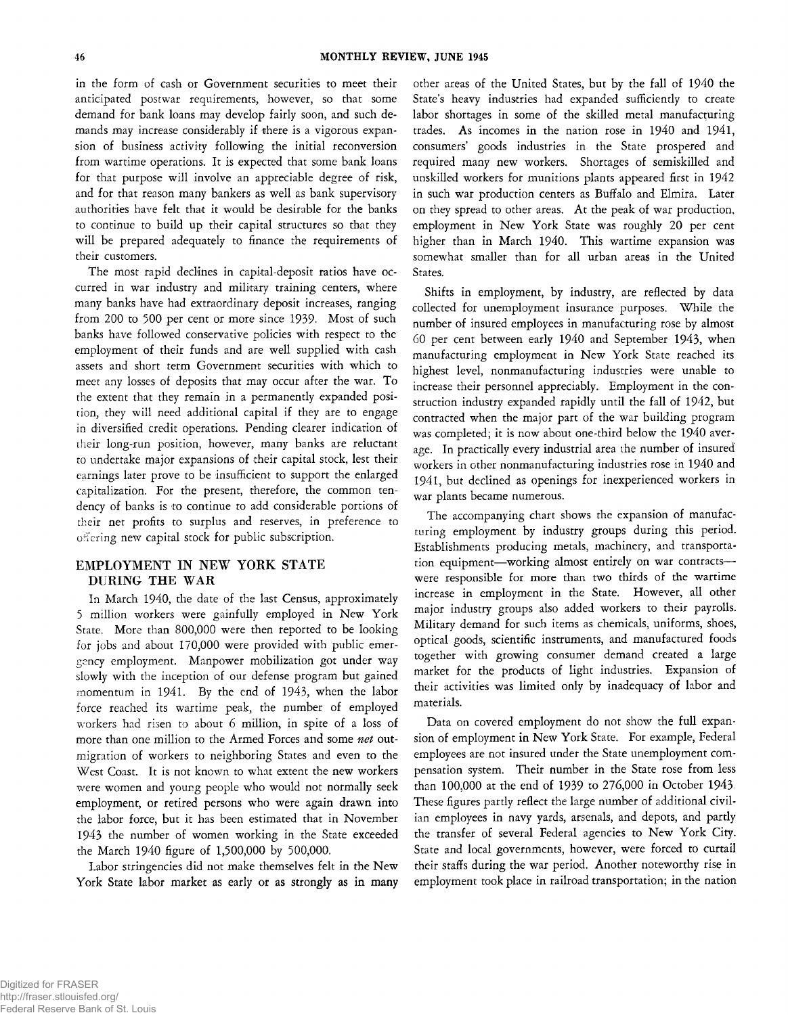in the form of cash or Government securities to meet their anticipated postwar requirements, however, so that some demand for bank loans may develop fairly soon, and such demands may increase considerably if there is a vigorous expansion of business activity following the initial reconversion from wartime operations. It is expected that some bank loans for that purpose will involve an appreciable degree of risk, and for that reason many bankers as well as bank supervisory authorities have felt that it would be desirable for the banks to continue to build up their capital structures so that they will be prepared adequately to finance the requirements of their customers.

The most rapid declines in capital-deposit ratios have occurred in war industry and military training centers, where many banks have had extraordinary deposit increases, ranging from 200 to 500 per cent or more since 1939. Most of such banks have followed conservative policies with respect to the employment of their funds and are well supplied with cash assets and short term Government securities with which to meet any losses of deposits that may occur after the war. To the extent that they remain in a permanently expanded position, they will need additional capital if they are to engage in diversified credit operations. Pending clearer indication of their long-run position, however, many banks are reluctant to undertake major expansions of their capital stock, lest their earnings later prove to be insufficient to support the enlarged capitalization. For the present, therefore, the common tendency of banks is to continue to add considerable portions of their net profits to surplus and reserves, in preference to offering new capital stock for public subscription.

# EMPLOYMENT IN NEW YORK STATE DURING THE WAR

In March 1940, the date of the last Census, approximately 5 million workers were gainfully employed in New York State. More than 800,000 were then reported to be looking for jobs and about 170,000 were provided with public emergency employment. Manpower mobilization got under way slowly with the inception of our defense program but gained momentum in 1941. By the end of 1943, when the labor force reached its wartime peak, the number of employed workers had risen to about 6 million, in spite of a loss of more than one million to the Armed Forces and some *net* outmigration of workers to neighboring States and even to the West Coast. It is not known to what extent the new workers were women and young people who would not normally seek employment, or retired persons who were again drawn into the labor force, but it has been estimated that in November 1943 the number of women working in the State exceeded the March 1940 figure of 1,500,000 by 500,000.

Labor stringencies did not make themselves felt in the New York State labor market as early or as strongly as in many other areas of the United States, but by the fall of 1940 the State's heavy industries had expanded sufficiently to create labor shortages in some of the skilled metal manufacturing trades. As incomes in the nation rose in 1940 and 1941, consumers' goods industries in the State prospered and required many new workers. Shortages of semiskilled and unskilled workers for munitions plants appeared first in 1942 in such war production centers as Buffalo and Elmira. Later on they spread to other areas. At the peak of war production, employment in New York State was roughly 20 per cent higher than in March 1940. This wartime expansion was somewhat smaller than for all urban areas in the United States.

Shifts in employment, by industry, are reflected by data collected for unemployment insurance purposes. While the number of insured employees in manufacturing rose by almost 60 per cent between early 1940 and September 1943, when manufacturing employment in New York State reached its highest level, nonmanufacturing industries were unable to increase their personnel appreciably. Employment in the construction industry expanded rapidly until the fall of 1942, but contracted when the major part of the war building program was completed; it is now about one-third below the 1940 average. In practically every industrial area the number of insured workers in other nonmanufacturing industries rose in 1940 and 1941, but declined as openings for inexperienced workers in war plants became numerous.

The accompanying chart shows the expansion of manufacturing employment by industry groups during this period. Establishments producing metals, machinery, and transportation equipment— working almost entirely on war contracts were responsible for more than two thirds of the wartime increase in employment in the State. However, all other major industry groups also added workers to their payrolls. Military demand for such items as chemicals, uniforms, shoes, optical goods, scientific instruments, and manufactured foods together with growing consumer demand created a large market for the products of light industries. Expansion of their activities was limited only by inadequacy of labor and materials.

Data on covered employment do not show the full expansion of employment in New York State. For example, Federal employees are not insured under the State unemployment compensation system. Their number in the State rose from less than 100,000 at the end of 1939 to 276,000 in October 1943 These figures partly reflect the large number of additional civilian employees in navy yards, arsenals, and depots, and partly the transfer of several Federal agencies to New York City. State and local governments, however, were forced to curtail their staffs during the war period. Another noteworthy rise in employment took place in railroad transportation; in the nation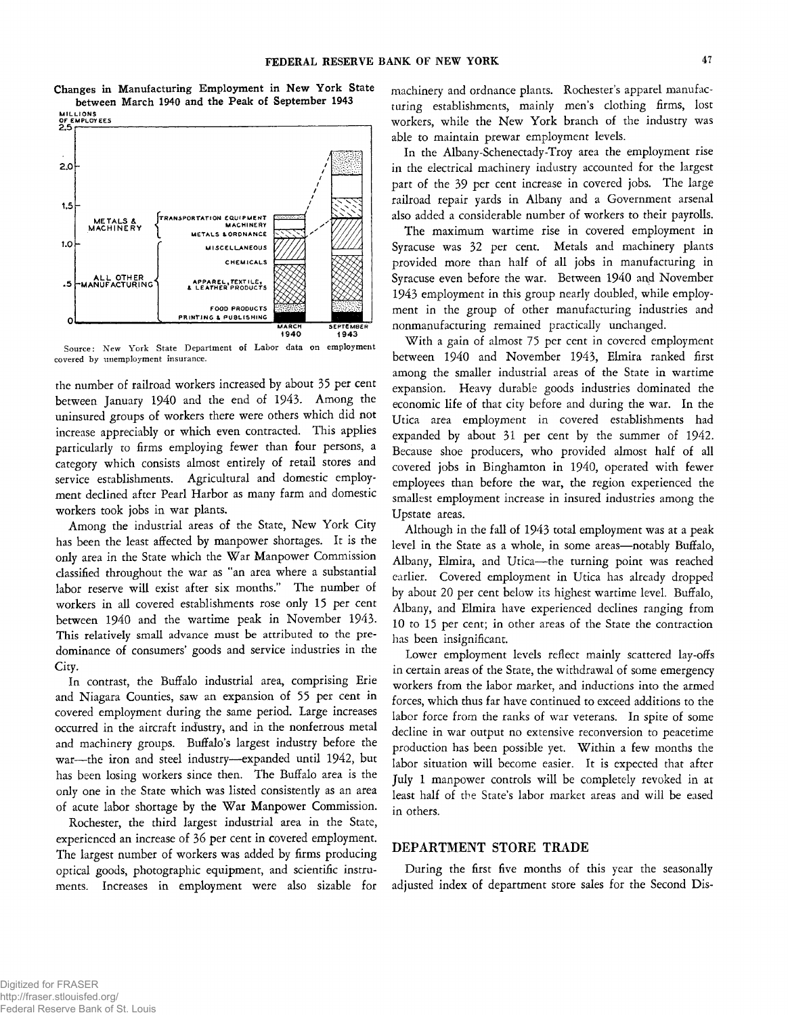**Changes in Manufacturing Employment in New York State**



Source: New York State Department of Labor data on employment covered by unemployment insurance.

the number of railroad workers increased by about 35 per cent between January 1940 and the end of 1943. Among the uninsured groups of workers there were others which did not increase appreciably or which even contracted. This applies particularly to firms employing fewer than four persons, *a* category which consists almost entirely of retail stores and service establishments. Agricultural and domestic employment declined after Pearl Harbor as many farm and domestic workers took jobs in war plants.

Among the industrial areas of the State, New York City has been the least affected by manpower shortages. It is the only area in the State which the War Manpower Commission classified throughout the war as "an area where a substantial labor reserve will exist after six months." The number of workers in all covered establishments rose only 15 per cent between 1940 and the wartime peak in November 1943. This relatively small advance must be attributed to the predominance of consumers' goods and service industries in the City.

In contrast, the Buffalo industrial area, comprising Erie and Niagara Counties, saw an expansion of 55 per cent in covered employment during the same period. Large increases occurred in the aircraft industry, and in the nonferrous metal and machinery groups. Buffalo's largest industry before the war— the iron and steel industry— expanded until 1942, but has been losing workers since then. The Buffalo area is the only one in the State which was listed consistently as an area of acute labor shortage by the War Manpower Commission.

Rochester, the third largest industrial area in the State, experienced an increase of 36 per cent in covered employment. The largest number of workers was added by firms producing optical goods, photographic equipment, and scientific instruments. Increases in employment were also sizable for

machinery and ordnance plants. Rochester's apparel manufacturing establishments, mainly men's clothing firms, lost workers, while the New York branch of the industry was able to maintain prewar employment levels.

In the Albany-Schenectady-Troy area the employment rise in the electrical machinery industry accounted for the largest part of the 39 per cent increase in covered jobs. The large railroad repair yards in Albany and a Government arsenal also added a considerable number of workers to their payrolls.

The maximum wartime rise in covered employment in Syracuse was 32 per cent. Metals and machinery plants provided more than half of all jobs in manufacturing in Syracuse even before the war. Between 1940 and November 1943 employment in this group nearly doubled, while employment in the group of other manufacturing industries and nonmanufacturing remained practically unchanged.

With a gain of almost 75 per cent in covered employment between 1940 and November 1943, Elmira ranked first among the smaller industrial areas of the State in wartime expansion. Heavy durable goods industries dominated the economic life of that city before and during the war. In the Utica area employment in covered establishments had expanded by about 31 per cent by the summer of 1942. Because shoe producers, who provided almost half of all covered jobs in Binghamton in 1940, operated with fewer employees than before the war, the region experienced the smallest employment increase in insured industries among the Upstate areas.

Although in the fall of 1943 total employment was at a peak level in the State as a whole, in some areas— notably Buffalo, Albany, Elmira, and Utica— the turning point was reached earlier. Covered employment in Utica has already dropped by about 20 per cent below its highest wartime level. Buffalo, Albany, and Elmira have experienced declines ranging from 10 to 15 per cent; in other areas of the State the contraction has been insignificant.

Lower employment levels reflect mainly scattered lay-offs in certain areas of the State, the withdrawal of some emergency workers from the labor market, and inductions into the armed forces, which thus far have continued to exceed additions to the labor force from the ranks of war veterans. In spite of some decline in war output no extensive reconversion to peacetime production has been possible yet. Within a few months the labor situation will become easier. It is expected that after July 1 manpower controls will be completely revoked in at least half of the State's labor market areas and will be eased in others.

### DEPARTMENT STORE TRADE

During the first five months of this year the seasonally adjusted index of department store sales for the Second Dis-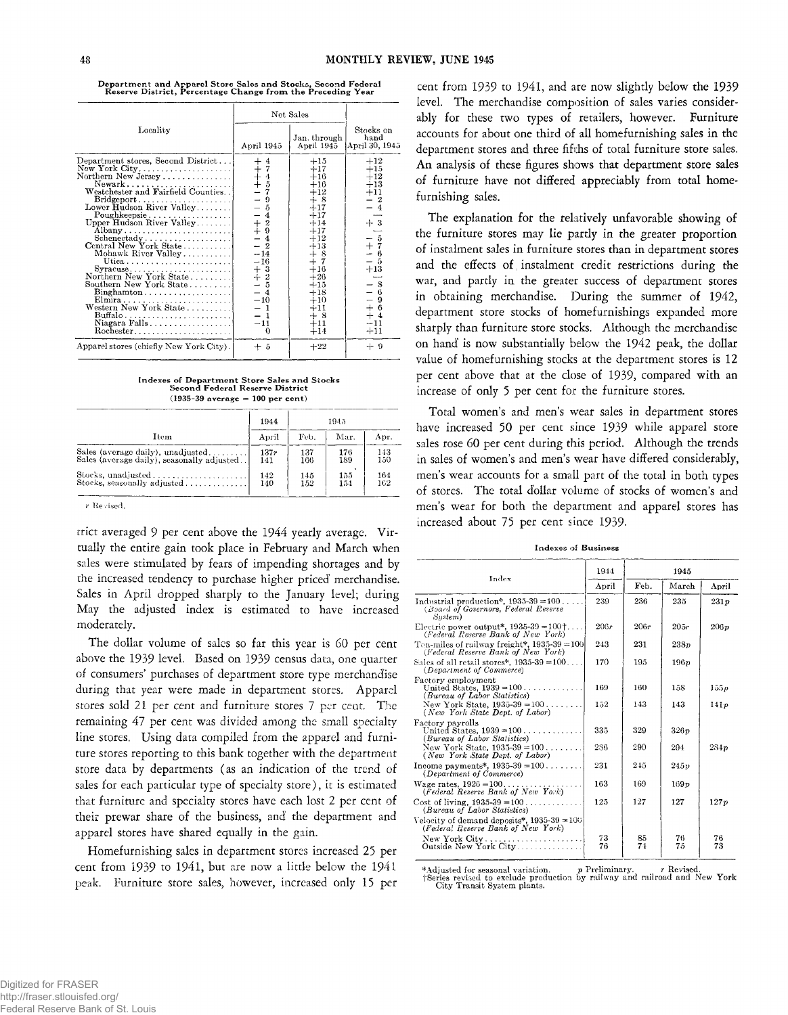**D epartm ent and Apparel Store Sales and Stocks, Second Federal Reserve D istrict, Percentage Change from the Preceding Year**

|                                                                                                                                                                                                                                                                                                                                                                                                                                                                                                                                                                                                                | Net Sales                                                                                                                                                                                                                                               |                                                                                                                                                                                                          |                                                                                                                                                                                                               |
|----------------------------------------------------------------------------------------------------------------------------------------------------------------------------------------------------------------------------------------------------------------------------------------------------------------------------------------------------------------------------------------------------------------------------------------------------------------------------------------------------------------------------------------------------------------------------------------------------------------|---------------------------------------------------------------------------------------------------------------------------------------------------------------------------------------------------------------------------------------------------------|----------------------------------------------------------------------------------------------------------------------------------------------------------------------------------------------------------|---------------------------------------------------------------------------------------------------------------------------------------------------------------------------------------------------------------|
| Locality                                                                                                                                                                                                                                                                                                                                                                                                                                                                                                                                                                                                       | April 1945                                                                                                                                                                                                                                              | Jan. through<br>April 1945                                                                                                                                                                               | Stocks on<br>hand<br>April 30, 1945                                                                                                                                                                           |
| Department stores, Second District<br>New York City<br>Northern New Jersey<br>Newark<br>Westchester and Fairfield Counties<br>$\text{Bridgeport} \dots \dots \dots \dots \dots \dots$<br>Lower Hudson River Valley<br>$Poughkeepsie \ldots \ldots \ldots$<br>Upper Hudson River Valley<br>Albany<br>$S$ chenectady<br>Central New York State<br>Mohawk River Valley<br>Utica<br>Northern New York State<br>Southern New York State<br>$\text{Binghamton} \dots \dots \dots \dots \dots \dots$<br>Elmira<br>Western New York State<br>$\text{Buffalo}\dots\dots\dots\dots\dots\dots\dots\dots$<br>Niagara Falls | $\begin{array}{c} + & 4 \\ + & 7 \\ + & 4 \\ + & 5 \end{array}$<br>$\overline{\phantom{0}}$<br>$\Omega$<br>$-5$<br>$-6$<br>$+2$<br>$+2$<br>$9$<br>4<br>Ξ<br>$\overline{2}$<br>$-14$<br>$-16$<br>$+3$<br>+ 2<br>5<br>$-4$<br>$-10$<br>$-1$<br>$-11$<br>0 | $+15$<br>$+17$<br>$+16$<br>$+16$<br>$+12$<br>$+8$<br>$+17$<br>$+17$<br>$+14$<br>$+17$<br>$+12$<br>$+13$<br>$+8$<br>$+7$<br>$+16$<br>$+26$<br>$+15$<br>$+18$<br>$+10$<br>$+11$<br>$+$ 8<br>$+11$<br>$+14$ | $+12$<br>$+15$<br>$+12$<br>$+13$<br>$+11$<br>$\boldsymbol{2}$<br>$+3$<br>$\tilde{\rm o}$<br>$\begin{array}{c} +7 \\ -6 \end{array}$<br>-6<br>-5<br>$^{+13}$<br>-8<br>6<br>9<br>$+6$<br>$+4$<br>$-11$<br>$+11$ |
| Apparel stores (chiefly New York City).                                                                                                                                                                                                                                                                                                                                                                                                                                                                                                                                                                        | + 5                                                                                                                                                                                                                                                     | $+22$                                                                                                                                                                                                    | $+9$                                                                                                                                                                                                          |

**Indexes of D epartm ent Store Sales and Stocks Second Federal Reserve District (1935-39 average = 100 per cent)**

|                                            | 1944  | 1945 |      |      |
|--------------------------------------------|-------|------|------|------|
| Item                                       | April | Feb. | Mar. | Apr. |
| Sales (average daily), unadjusted          | 137r  | 137  | 176  | 143  |
| Sales (average daily), seasonally adjusted | 141   | 166  | 189  | 150  |
|                                            | 142   | 145  | 155  | 164  |
| Stocks, seasonally adjusted                | 140   | 152  | 154  | 162  |

*r* **Revised.**

trict averaged 9 per cent above the 1944 yearly average. Virtually the entire gain took place in February and March when sales were stimulated by fears of impending shortages and by the increased tendency to purchase higher priced merchandise. Sales in April dropped sharply to the January level; during May the adjusted index is estimated to have increased moderately.

The dollar volume of sales so far this year is 60 per cent above the 1939 level. Based on 1939 census data, one quarter of consumers' purchases of department store type merchandise during that year were made in department stores. Apparel stores sold 21 per cent and furniture stores 7 per cent. The remaining 47 per cent was divided among the small specialty line stores. Using data compiled from the apparel and furniture stores reporting to this bank together with the department store data by departments (as an indication of the trend of sales for each particular type of specialty store), it is estimated that furniture and specialty stores have each lost 2 per cent of their prewar share of the business, and' the department and apparel stores have shared equally in the gain.

Homefurnishing sales in department stores increased 25 per cent from 1939 to 1941, but are now a little below the 1941 peak. Furniture store sales, however, increased only 15 per cent from 1939 to 1941, and are now slightly below the 1939 level. The merchandise composition of sales varies considerably for these two types of retailers, however. Furniture accounts for about one third of all homefurnishing sales in the department stores and three fifths of total furniture store sales. An analysis of these figures shows that department store sales of furniture have not differed appreciably from total homefurnishing sales.

The explanation for the relatively unfavorable showing of the furniture stores may lie partly in the greater proportion of instalment sales in furniture stores than in department stores and the effects of instalment credit restrictions during the war, and partly in the greater success of department stores in obtaining merchandise. During the summer of 1942, department store stocks of homefurnishings expanded more sharply than furniture store stocks. Although the merchandise on hand is now substantially below the 1942 peak, the dollar value of homefurnishing stocks at the department stores is 12 per cent above that at the close of 1939, compared with an increase of only 5 per cent for the furniture stores.

Total women's and men's wear sales in department stores have increased 50 per cent since 1939 while apparel store sales rose 60 per cent during this period. Although the trends in sales of women's and men's wear have differed considerably, men's wear accounts for a small part of the total in both types of stores. The total dollar volume of stocks of women's and men's wear for both the department and apparel stores has increased about 75 per cent since 1939-

**Indexes of Business**

|                                                                                            | 1944     | 1945     |          |          |
|--------------------------------------------------------------------------------------------|----------|----------|----------|----------|
| Index                                                                                      | April    | Feb.     | March    | April    |
| Industrial production*, $1935-39 = 100$<br>(Board of Governors, Federal Reserve<br>Sustem) | 239      | 236      | 235      | 231p     |
| Electric power output*, $1935-39=100$ <sup>+</sup><br>(Federal Reserve Bank of New York)   | 206r     | 206r     | 205r     | 206p     |
| Ton-miles of railway freight*, $1935-39 = 100$<br>(Federal Reserve Bank of New York)       | 243      | 231      | 238p     |          |
| Sales of all retail stores*, $1935-39=100$<br>(Department of Commerce)                     | 170      | 195      | 196p     |          |
| Factory employment<br>United States, $1939 = 100$ .<br>.<br>(Bureau of Labor Statistics)   | 169      | 160      | 158      | 155p     |
| New York State, $1935-39 = 100$<br>(New York State Dept. of Labor)                         | 152      | 143      | 143      | 141p     |
| Factory payrolls<br>United States, $1939 = 100$<br>(Bureau of Labor Statistics)            | 335      | 329      | 326p     |          |
| New York State, $1935-39 = 100$<br>(New York State Dept. of Labor)                         | 236      | 290      | 294      | 284n     |
| Income payments*, $1935-39 = 100$<br>(Department of Commerce)                              | 231      | 245      | 245v     |          |
| Wage rates, $1926 = 100, \ldots, \ldots$<br>(Federal Reserve Bank of New York)             | 163      | 169      | 169p     |          |
| Cost of living, $1935-39 = 100$<br>(Bureau of Labor Statistics)                            | 125      | 127      | 127      | 127p     |
| Velocity of demand deposits*, $1935-39 = 100$<br>(Federal Reserve Bank of New York)        |          |          |          |          |
| $New York City \ldots \ldots \ldots \ldots \ldots$<br>Outside New York City                | 73<br>76 | 85<br>74 | 76<br>75 | 76<br>73 |

\* Adjusted for seasonal variation. p Preliminary. *r* Revised. fSeries revised to exclude production by railway and railroad and New York City Transit System plants.